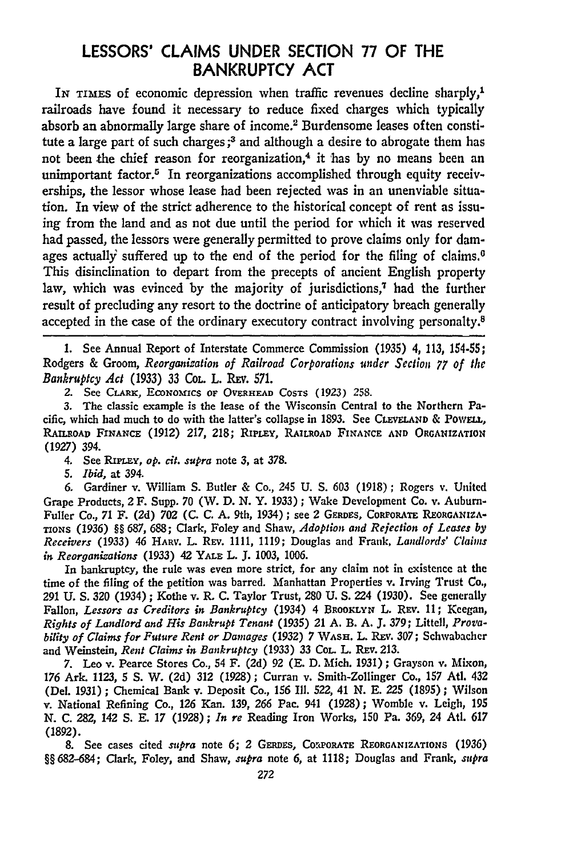## **LESSORS' CLAIMS UNDER SECTION 77** OF THE BANKRUPTCY **ACT**

IN **TIMES** of economic depression when traffic revenues decline sharply,1 railroads have found it necessary to reduce fixed charges which typically absorb an abnormally large share of income.<sup>2</sup> Burdensome leases often constitute a large part of such charges **;3** and although a desire to abrogate them has not been the chief reason for reorganization,<sup>4</sup> it has by no means been an unimportant factor.<sup>5</sup> In reorganizations accomplished through equity receiverships, the lessor whose lease had been rejected was in an unenviable situation. In view of the strict adherence to the historical concept of rent as issuing from the land and as not due until the period for which it was reserved had passed, the lessors were generally permitted to prove claims only for damages actually suffered up to the end of the period for the filing of claims.<sup> $0$ </sup> This disinclination to depart from the precepts of ancient English property law, which was evinced by the majority of jurisdictions,<sup>7</sup> had the further result of precluding any resort to the doctrine of anticipatory breach generally accepted in the case of the ordinary executory contract involving personalty.8

1. See Annual Report of Interstate Commerce Commission (1935) 4, 113, 154-55; Rodgers **&** Groom, *Reorganization of Railroad Corporations under Section 77 of the Bankruptcy Act* **(1933) 33 CoL.** L. Rxv. **571.**

2. See **CLARK, ECONOMICS OF OVERHEAD COSTS** *(1923)* 258.

**3.** The classic example is the lease of the Wisconsin Central to the Northern Pacific, which had much to do with the latter's collapse in **1893.** See **CLEVELAND &** PowELL, **RALROAD FINANCE (1912) 217, 218;** RIPLEY, **RAILROAD FINANCE AND ORGANIZATION (1927)** 394.

4. See RimPLEY, *op. cit. supra* note **3,** at **378.**

*5. Ibid,* at 394.

6. Gardiner v. William S. Butler & Co., 245 U. S. 603 (1918) ; Rogers v. United Grape Products, 2 F. Supp. 70 (W. D. N. Y. 1933); Wake Development Co. v. Auburn-Fuller Co., 71 F. (2d) 702 (C. C. A. 9th, 1934); see 2 GERDES, CoRPORATE **REORGANIZA-TIONS** (1936) §§ 687, 688; Clark, Foley and Shaw, *Adoption and Rejection of Leases by Receivers* (1933) 46 HARV. L. Rrv. 1111, 1119; Douglas and Frank, *Landlords' Claims in Reorganizations* (1933) 42 YALE L. J. 1003, 1006.

In bankruptcy, the rule was even more strict, for any claim not in existence at the time of the filing of the petition was barred. Manhattan Properties v. Irving Trust Co., 291 **U. S.** 320 (1934) ; Kothe v. R. **C.** Taylor Trust, 280 **U. S.** 224 (1930). See generally Fallon, *Lessors as Creditors in Bankruptcy* (1934) 4 BROOKLYN L. REV. 11; Keegan, *Rights of Landlord and His Bankrupt Tenant* (1935) 21 **A.** B. **A. J. 379;** Littell, *Provability of Claims for Future Rent or Damages* (1932) 7 **WASH.** L. Ray. 307; Schwabacher and Weinstein, *Rent Claims in Bankruptcy* **(1933)** 33 **COL.** L. Rav. **213.**

**7.** Leo v. Pearce Stores Co., 54 F. **(2d) 92 (E. D.** Mich. **1931);** Grayson v. Mixon, **176** Ark. **1123, 5 S.** W. **(2d) 312 (1928);** Curran v. Smith-Zollinger Co., **157** Atl. 432 (Del. **1931) ;** Chemical Bank v. Deposit Co., **156 Ill.** *522,* 41 **N. E.** *225* **(1895) ;** Wilson v. National Refining Co., **126** Kan. **139, 266** Pac. 941 **(1928);** Womble v. Leigh, 195 **N. C. 282,** 142 **S. E. 17 (1928);** *In re* Reading Iron Works, **150** Pa. **369,** 24 Atl. **617 (1892).**

**8.** See cases cited *supra* note **6;** 2 **GERDES, COrcPORATE REORGANIZATIONS (1936) §§682-684;** Clark, Foley, and Shaw, *supra* note 6, at **1118;** Douglas and Frank, *supra*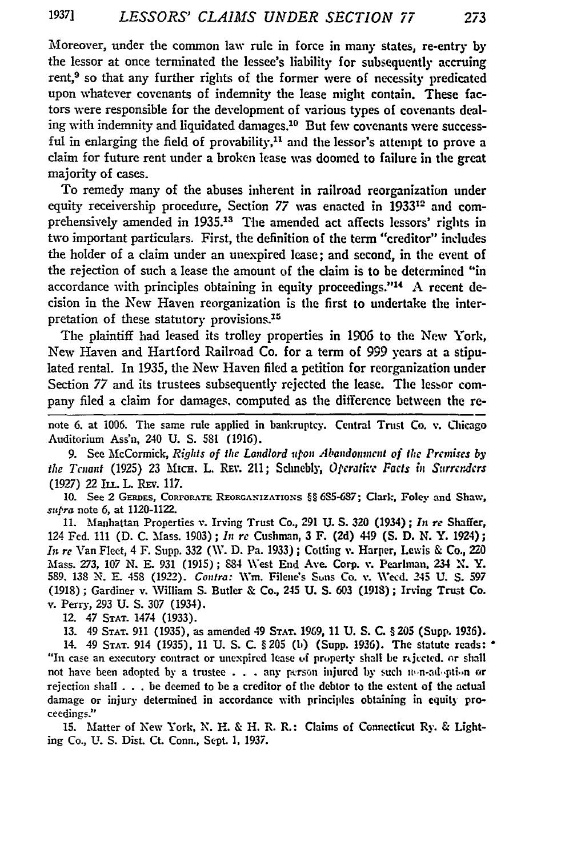Moreover, under the common law rule in force in many states, re-entry by the lessor at once terminated the lessee's liability for subsequently accruing rent,<sup>9</sup> so that any further rights of the former were of necessity predicated upon whatever covenants of indemnity the lease might contain. These factors were responsible for the development of various types of covenants dealing with indemnity and liquidated damages.<sup>10</sup> But few covenants were successful in enlarging the field of provability,<sup>11</sup> and the lessor's attempt to prove a claim for future rent under a broken lease was doomed to failure in the great majority of cases.

To remedy many of the abuses inherent in railroad reorganization under equity receivership procedure, Section 77 was enacted in 1933<sup>12</sup> and comprehensively amended in **1935.13** The amended act affects lessors' rights in two important particulars. First, the definition of the term "creditor" includes the holder of a claim under an unexpired lease; and second, in the event of the rejection of such a lease the amount of the claim is to be determined "in accordance with principles obtaining in equity proceedings."<sup>14</sup> A recent decision in the New Haven reorganization is the first to undertake the interpretation of these statutory provisions.<sup>15</sup>

The plaintiff had leased its trolley properties in 1906 to the New York, New Haven and Hartford Railroad Co. for a term of 999 years at a stipulated rental. In **1935,** the New Haven **filed** a petition for reorganization under Section 77 and its trustees subsequently rejected the lease. The lessor company filed a claim for damages. computed as the difference between the re-

note **6.** at **1006.** The same rule applied in bankruptcy. Central Trust Co. v. Chicago Auditorium Ass'n, 240 **U. S. 581 (1916).**

**9.** See McCormick, *Rights of the Landlord itpon Abandonincnt of the Prcinises by the Tenant* (1925) 23 Mich. L. REv. 211; Schnebly, Operative Facts in Surrenders **(1927)** 22 ILT.L. .Ev. **117.**

**10.** See **2 GERDaS,** CORPORATE REORGANIZATIONS §§ **6S5-687;** Clark, Foley and Shaw, *supra* note 6, at 1120-1122.

11. Manhattan Properties v. Irving Trust Co., **291** U. S. **320** (1934) **;** *In re* Shaffer, 124 **Fed.** 111 (D. C. Mass. 1903); *In re* Cushman, **3** F. **(2d)** 449 (S. **D.** N. Y. 1924); *In re* Van Fleet, 4 **F.** Supp. 332 (V. **D.** Pa. 1933) **;** Cotting v. Harper, Lewis & Co., 220 **Mass. 273, 107 N. E.** 931 **(1915);** 884 West End Ave. Corp. v. Pearlman, 234 **X.** Y. **589. 138 N. E.** 458 **(1922).** *Contra:* Wm. Filene's Suns Co. v. Wed. 245 **U. S. 597 (1918);** Gardiner v. William **S.** Butler & Co., 245 **U. S. 603 (1918);** Irving Trust Co. v. Perry, **293 U. S. 307** (1934).

12. 47 **STAT.** 1474 **(1933).**

**13.** 49 **STAT. 911 (1935),** as amended 49 **STAT. 1969, 11 U. S. C.** § **205** (Supp. 1936).

14. 49 STAT. 914 **(1935), 11 U. S. C.** § 205 (to) (Supp. **1936).** The statute reads: "In case an executory contract or unexpired lease of property shall be rejected, or shall not have been adopted by a trustee **. . .** any pierson injured **by** such n,,n-ad-pti,,n or rejection shall . . . be deemed to be a creditor of the debtor to **the** extent of the actual damage or injury determined in accordance with principles obtaining in equity proceedings.'

**15.** Matter of New York, N. H. & H. R. **R.:** Claims of Connecticut Ry. & Lighting Co., **U. S.** Dist. Ct. Conn., Sept. **1, 1937.**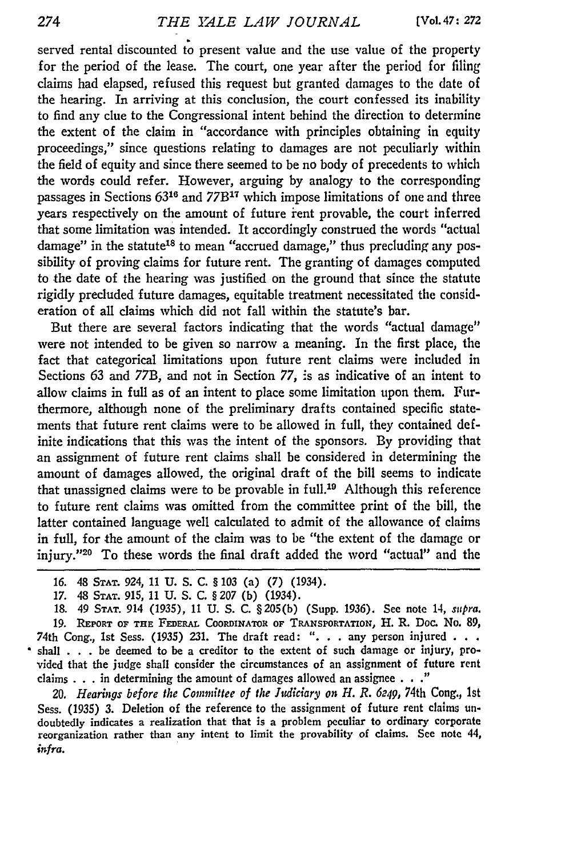served rental discounted to present value and the use value of the property for the period of the lease. The court, one year after the period for filing claims had elapsed, refused this request but granted damages to the date of the hearing. In arriving at this conclusion, the court confessed its inability to find any clue to the Congressional intent behind the direction to determine the extent of the claim in "accordance with principles obtaining in equity proceedings," since questions relating to damages are not peculiarly within the field of equity and since there seemed to be no body of precedents to which the words could refer. However, arguing by analogy to the corresponding passages in Sections **6316** and 77B17 which impose limitations of one and three years respectively on the amount of future ient provable, the court inferred that some limitation was intended. It accordingly construed the words "actual damage" in the statute<sup>18</sup> to mean "accrued damage," thus precluding any possibility of proving claims for future rent. The granting of damages computed to the date of the hearing was justified on the ground that since the statute rigidly precluded future damages, equitable treatment necessitated the consideration of all claims which did not fall within the statute's bar.

But there are several factors indicating that the words "actual damage" were not intended to be given so narrow a meaning. In the first place, the fact that categorical limitations upon future rent claims were included in Sections 63 and 77B, and not in Section 77, is as indicative of an intent to allow claims in full as of an intent to place some limitation upon them. Furthermore, although none of the preliminary drafts contained specific statements that future rent claims were to be allowed in full, they contained definite indications that this was the intent of the sponsors. By providing that an assignment of future rent claims shall be considered in determining the amount of damages allowed, the original draft of the bill seems to indicate that unassigned claims were to be provable in  $full<sup>19</sup>$ . Although this reference to future rent claims was omitted from the committee print of the bill, the latter contained language well calculated to admit of the allowance of claims in full, for the amount of the claim was to be "the extent of the damage or injury."<sup>20</sup> To these words the final draft added the word "actual" and the

17. 48 **STAT.** 915, 11 U. S. C. § 207 (b) (1934).

18. 49 **STAT.** 914 (1935), 11 U. S. C. § 205(b) (Supp. 1936). **See** note 14, *supra.* **19. REPORT OF THE FEDERAL COORDINATOR** OF TRANSPORTATION, H. R. Doc. No. 89, 74th Cong., 1st Sess. (1935) 231. The draft read: ". **.** . any **person** injured **. . .** shall . . . be deemed to be a creditor to the extent of such damage or injury, provided that the judge shall consider the circumstances of an assignment of future rent claims **. . .** in determining the amount of damages allowed an assignee **... "**

*20. Hearings before the Committee of the Jidiciary on H. R. 6249,* 74th Cong., 1st Sess. (1935) *3.* Deletion of the reference to the assignment of future rent claims undoubtedly indicates a realization that that is a problem peculiar to ordinary corporate reorganization rather than any intent to limit the provability of claims. See note 44, *infra.*

<sup>16. 48</sup> **STAT.** 924, 11 **U.** S. **C.** § **103** (a) (7) (1934).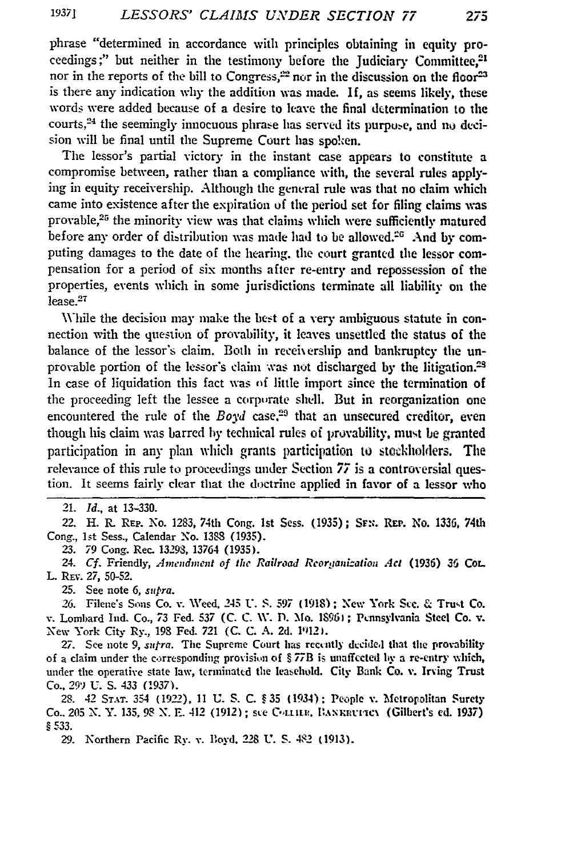phrase "determined in accordance with principles obtaining in equity proceedings;" but neither in the testimony before the Judiciary Committee,<sup>21</sup> nor in the reports of the bill to Congress,<sup>22</sup> nor in the discussion on the floor<sup>23</sup> is there any indication why the addition was made. **If,** as seems **likely,** these words were added because of a desire to leave the final determination to the courts, $24$  the seemingly innocuous phrase has served its purpose, and no decision will be final until the Supreme Court has spoken.

The lessor's partial victory in the instant case appears to constitute a compromise between, rather than a compliance with, the several rules applying in equity receivership. Although the general rule was that no claim which came into existence after the expiration **of** the period set for filing claims **was** provable, $25$  the minority view was that claims which were sufficiently matured before any order of distribution was made had to be allowed.<sup>26</sup> And by computing damages to the date of the hearing, the court granted the lessor compensation for a period of six months after re-entry and repossession of the properties, events which in **some** jurisdictions terminate **all** liability on the lease.<sup>27</sup>

While the decision may make the best of a very ambiguous statute in connection with the question of provability, it leaves unsettled the status of the balance of the lessor's claim. Both in receivership and bankruptcy the unprovable portion of the lessor's claim was not discharged by the litigation.<sup>28</sup> In case of liquidation this fact was of little import since the termination of the proceeding left the lessee a corporate shell. But in reorganization one encountered the rule of the *Boyd* case.<sup>29</sup> that an unsecured creditor, even though his claim was barred **by** technical rules of provability, must be granted participation in any plan which grants participation to stockholders. **The** relevance of this rule to proceedings under Section 77 is a controversial question. It seems fairly clear that the doctrine applied in favor of a lessor who

21. *Id.,* at 13-330.

22. H. R. **REP.** No. **1283,** 74th Cong. **1st** Sess. (1935); **SF-;.** REP. No. **1336,** 74th Cong., *1st* Sess., Calendar No. 1388 (1935).

**23.** 79 Cong. Rec. 13293, 13764 (1935).

24. *Cf.* Friendly, Amendment of the Railroad Reorganization Act (1936) 36 CoL. L. **REv.** *27,* 50-52.

25. See note 6, *supra.*

26. Filene's Sons Co. v. Weed, 245 **U.** *S.* **597** (1918); **New** York SLc. & Trust Co. v. Lombard Ind. Co., 73 Fed. 537 (C. C. W. D. Mo. 18961; Pennsylvania Steel Co. v. New York City Ry., **198** Fed. 721 (C. C. A. 2d. 1912).

27. See note 9, *sufra*. The Supreme Court has recently decided that the provability of a claim under the corresponding provision of §77B is unaffected by a re-entry which, under the operative state law, terminated the leasehold. City Bank **Co.** v. Irving Trust Co., **29)** U. S. 433 **(1937).**

28. 42 **STar.** 354 **(192-),** 11 U. S. C. § 35 (1934): **People v.** Metrolrolitan Surety Co.. 205 **N.** Y. 135, **98 N.** E. 412 (1912) ; ste VA-trtF. **Il7axn -c\** (Gilbert's **ed.** 1937) *§* 533.

29. Northern Pacific Ry. v. Boyd. 228 U. S. 482 (1913).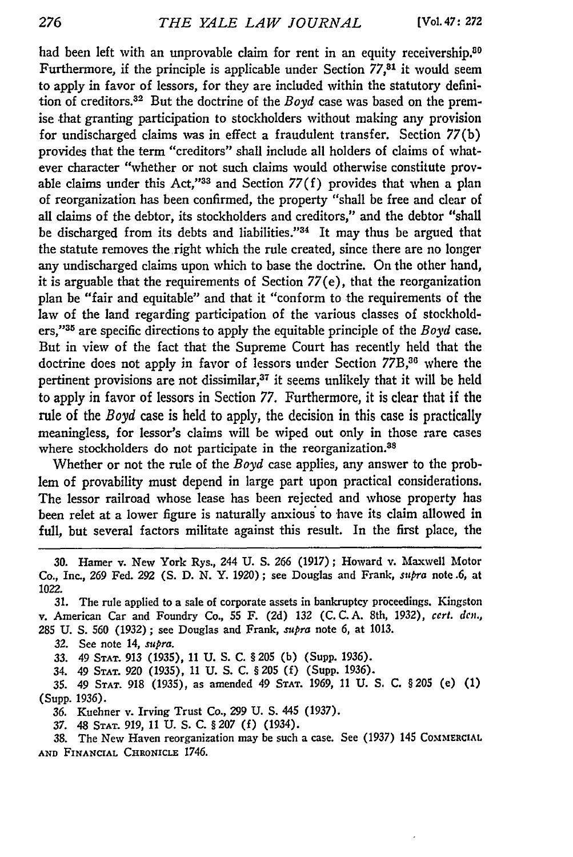had been left with an unprovable claim for rent in an equity receivership.<sup>80</sup> Furthermore, if the principle is applicable under Section **77,31** it would seem to apply in favor of lessors, for they are included within the statutory definition of creditors.<sup>32</sup> But the doctrine of the *Boyd* case was based on the premise that granting participation to stockholders without making any provision for undischarged claims was in effect a fraudulent transfer. Section 77(b) provides that the term "creditors" shall include all holders of claims of whatever character "whether or not such claims would otherwise constitute provable claims under this Act,"33 and Section  $77(f)$  provides that when a plan of reorganization has been confirmed, the property "shall be free and clear of all claims of the debtor, its stockholders and creditors," and the debtor "shall be discharged from its debts and liabilities."<sup>34</sup> It may thus be argued that the statute removes the right which the rule created, since there are no longer any undischarged claims upon which to base the doctrine. On the other hand, it is arguable that the requirements of Section 77(e), that the reorganization plan be "fair and equitable" and that it "conform to the requirements of the law of the land regarding participation of the various classes of stockholders,"35 are specific directions to apply the equitable principle of the *Boyd* case. But in view of the fact that the Supreme Court has recently held that the doctrine does not apply in favor of lessors under Section 77B,<sup>36</sup> where the pertinent provisions are not dissimilar, $37$  it seems unlikely that it will be held to apply in favor of lessors in Section 77. Furthermore, it is clear that if the rule of the *Boyd* case is held to apply, the decision in this case is practically meaningless, for lessor's claims will be wiped out only in those rare cases where stockholders do not participate in the reorganization.<sup>38</sup>

Whether or not the rule of the *Boyd* case applies, any answer to the problem of provability must depend in large part upon practical considerations. The lessor railroad whose lease has been rejected and whose property has been relet at a lower figure is naturally anxious to have its claim allowed in full, but several factors militate against this result. In the first place, the

34. 49 **STAT.** 920 (1935), 11 U. S. C. § 205 **(f)** (Supp. 1936).

35. 49 **STAT.** 918 (1935), as amended 49 **STAT.** 1969, 11 U. S. C. §205 **(e)** (1) (Supp. 1936).

**36.** Kuehner v. Irving Trust Co., 299 U. S. 445 (1937).

37. 48 **STAT.** 919, 11 U. S. C. § 207 (f) (1934).

38. The New Haven reorganization may be such a case. See (1937) 145 COMMERCIAL **AND FINANCIAL CHRONICLE** 1746.

**<sup>30.</sup> Hamer** v. New York Rys., 244 **U. S.** *266* **(1917);** Howard v. Maxwell Motor Co., Inc., 269 Fed. **292 (S. D. N.** Y. **1920);** see Douglas and Frank, supra note .6, at 1022.

**<sup>31.</sup>** The rule applied to a sale of corporate assets in bankruptcy proceedings. Kingston v. American Car and Foundry Co., **55** F. (2d) **132** (C. C. A. 8th, 1932), cerl. *den.,* 285 U. **S. 560** (1932) ; see Douglas and Frank, *.pra* note **6,** at **1013.**

<sup>32.</sup> See note 14, supra.

*<sup>33.</sup>* 49 **STAT.** 913 (1935), 11 U. S. C. § 205 (b) (Supp. 1936).